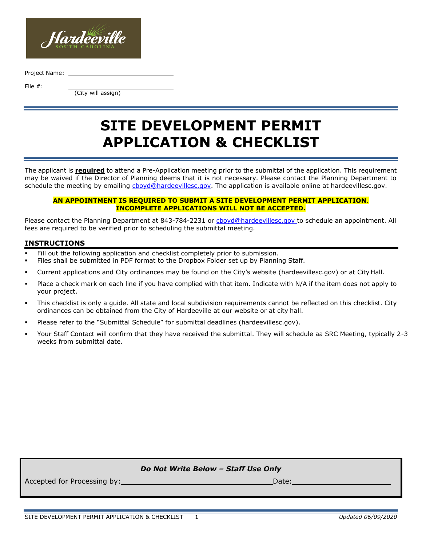

Project Name:

File #:

(City will assign)

# **SITE DEVELOPMENT PERMIT APPLICATION & CHECKLIST**

The applicant is **required** to attend a Pre-Application meeting prior to the submittal of the application. This requirement may be waived if the Director of Planning deems that it is not necessary. Please contact the Planning Department to schedule the meeting by emailing choyd@hardeevillesc.gov. The application is available online at hardeevillesc.gov.

#### **AN APPOINTMENT IS REQUIRED TO SUBMIT A SITE DEVELOPMENT PERMIT APPLICATION**. **INCOMPLETE APPLICATIONS WILL NOT BE ACCEPTED.**

Please contact the Planning Department at 843-784-2231 or [cboyd@hardeevillesc.gov t](mailto:cboyd@hardeevillesc.gov)o schedule an appointment. All fees are required to be verified prior to scheduling the submittal meeting.

# **INSTRUCTIONS**

- Fill out the following application and checklist completely prior to submission.
- Files shall be submitted in PDF format to the Dropbox Folder set up by Planning Staff.
- Current applications and City ordinances may be found on the City's website (hardeevillesc.gov) or at City Hall.
- Place a check mark on each line if you have complied with that item. Indicate with N/A if the item does not apply to your project.
- This checklist is only a guide. All state and local subdivision requirements cannot be reflected on this checklist. City ordinances can be obtained from the City of Hardeeville at our website or at city hall.
- Please refer to the "Submittal Schedule" for submittal deadlines (hardeevillesc.gov).
- Your Staff Contact will confirm that they have received the submittal. They will schedule aa SRC Meeting, typically 2-3 weeks from submittal date.

# *Do Not Write Below – Staff Use Only*

Accepted for Processing by:  $\overline{a}$  Date: Date: Date: Date: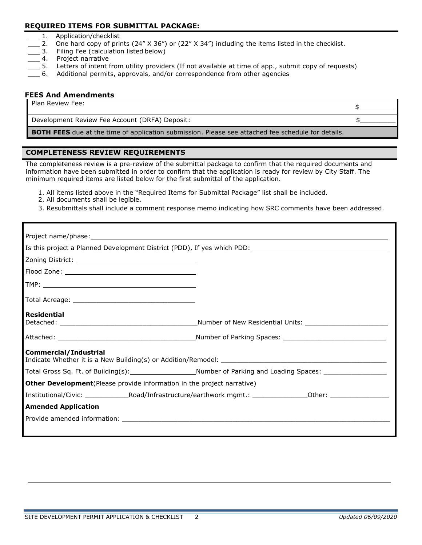# **REQUIRED ITEMS FOR SUBMITTAL PACKAGE:**

- 1. Application/checklist
- 2. One hard copy of prints (24" X 36") or (22" X 34") including the items listed in the checklist.<br>2. Filing Fee (calculation listed below)
- Filing Fee (calculation listed below)
- \_\_\_ 4. Project narrative
- \_\_\_ 5. Letters of intent from utility providers (If not available at time of app., submit copy of requests)
- \_\_\_ 6. Additional permits, approvals, and/or correspondence from other agencies

# **FEES And Amendments**

| Plan Review Fee:                                                                                          |  |
|-----------------------------------------------------------------------------------------------------------|--|
| Development Review Fee Account (DRFA) Deposit:                                                            |  |
| <b>BOTH FEES</b> due at the time of application submission. Please see attached fee schedule for details. |  |

#### **COMPLETENESS REVIEW REQUIREMENTS**

The completeness review is a pre-review of the submittal package to confirm that the required documents and information have been submitted in order to confirm that the application is ready for review by City Staff. The minimum required items are listed below for the first submittal of the application.

- 1. All items listed above in the "Required Items for Submittal Package" list shall be included.
- 2. All documents shall be legible.
- 3. Resubmittals shall include a comment response memo indicating how SRC comments have been addressed.

| <b>Residential</b><br><b>Commercial/Industrial</b><br><b>Other Development</b> (Please provide information in the project narrative) |  |
|--------------------------------------------------------------------------------------------------------------------------------------|--|
|                                                                                                                                      |  |
|                                                                                                                                      |  |
|                                                                                                                                      |  |
|                                                                                                                                      |  |
|                                                                                                                                      |  |
|                                                                                                                                      |  |
|                                                                                                                                      |  |
|                                                                                                                                      |  |
|                                                                                                                                      |  |
|                                                                                                                                      |  |
|                                                                                                                                      |  |
| <b>Amended Application</b>                                                                                                           |  |
|                                                                                                                                      |  |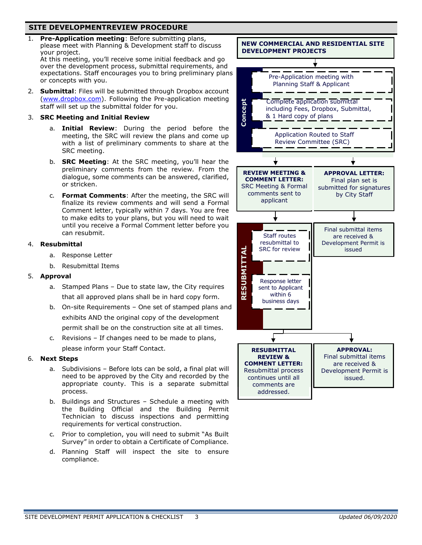# **SITE DEVELOPMENTREVIEW PROCEDURE**

1. **Pre-Application meeting**: Before submitting plans, please meet with Planning & Development staff to discuss your project.

At this meeting, you'll receive some initial feedback and go over the development process, submittal requirements, and expectations. Staff encourages you to bring preliminary plans or concepts with you.

2. **Submittal**: Files will be submitted through Dropbox account [\(www.dropbox.com\)](http://www.dropbox.com/). Following the Pre-application meeting staff will set up the submittal folder for you.

#### 3. **SRC Meeting and Initial Review**

- a. **Initial Review**: During the period before the meeting, the SRC will review the plans and come up with a list of preliminary comments to share at the SRC meeting.
- b. **SRC Meeting**: At the SRC meeting, you'll hear the preliminary comments from the review. From the dialogue, some comments can be answered, clarified, or stricken.
- c. **Format Comments**: After the meeting, the SRC will finalize its review comments and will send a Formal Comment letter, typically within 7 days. You are free to make edits to your plans, but you will need to wait until you receive a Formal Comment letter before you can resubmit.

#### 4. **Resubmittal**

- a. Response Letter
- b. Resubmittal Items

#### 5. **Approval**

- a. Stamped Plans Due to state law, the City requires that all approved plans shall be in hard copy form.
- b. On-site Requirements One set of stamped plans and exhibits AND the original copy of the development permit shall be on the construction site at all times.
- c. Revisions If changes need to be made to plans,

please inform your Staff Contact.

#### 6. **Next Steps**

- a. Subdivisions Before lots can be sold, a final plat will need to be approved by the City and recorded by the appropriate county. This is a separate submittal process.
- b. Buildings and Structures Schedule a meeting with the Building Official and the Building Permit Technician to discuss inspections and permitting requirements for vertical construction.
- c. Prior to completion, you will need to submit "As Built Survey" in order to obtain a Certificate of Compliance.
- d. Planning Staff will inspect the site to ensure compliance.



addressed.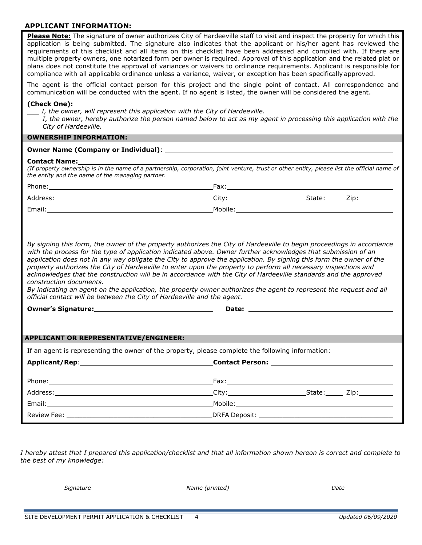# **APPLICANT INFORMATION:**

*I hereby attest that I prepared this application/checklist and that all information shown hereon is correct and complete to the best of my knowledge:*

*Signature Name (printed) Date*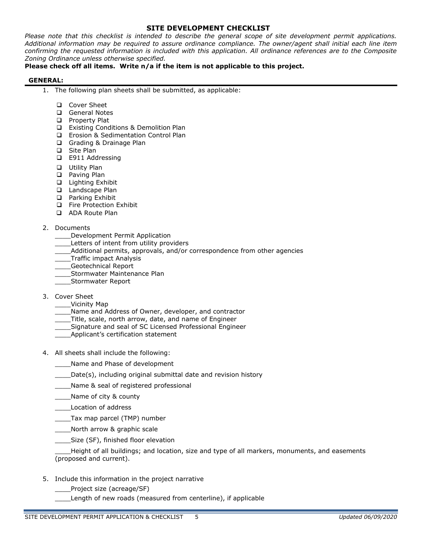# **SITE DEVELOPMENT CHECKLIST**

*Please note that this checklist is intended to describe the general scope of site development permit applications. Additional information may be required to assure ordinance compliance. The owner/agent shall initial each line item confirming the requested information is included with this application. All ordinance references are to the Composite Zoning Ordinance unless otherwise specified.*

# **Please check off all items. Write n/a if the item is not applicable to this project.**

#### **GENERAL:**

- 1. The following plan sheets shall be submitted, as applicable:
	- ❑ Cover Sheet
	- ❑ General Notes
	- ❑ Property Plat
	- ❑ Existing Conditions & Demolition Plan
	- ❑ Erosion & Sedimentation Control Plan
	- ❑ Grading & Drainage Plan
	- ❑ Site Plan
	- ❑ E911 Addressing
	- ❑ Utility Plan
	- ❑ Paving Plan
	- ❑ Lighting Exhibit
	- ❑ Landscape Plan
	- ❑ Parking Exhibit
	- ❑ Fire Protection Exhibit
	- ❑ ADA Route Plan

#### 2. Documents

- \_\_\_\_Development Permit Application
- Letters of intent from utility providers
- \_\_\_\_Additional permits, approvals, and/or correspondence from other agencies
- \_\_\_\_Traffic impact Analysis
- \_\_\_\_Geotechnical Report
- \_\_\_\_Stormwater Maintenance Plan
- \_\_\_\_Stormwater Report
- 3. Cover Sheet
	- \_\_\_\_Vicinity Map
	- Name and Address of Owner, developer, and contractor
	- Title, scale, north arrow, date, and name of Engineer
	- \_\_\_\_Signature and seal of SC Licensed Professional Engineer
	- \_\_\_\_Applicant's certification statement
- 4. All sheets shall include the following:
	- \_\_\_\_Name and Phase of development
	- \_\_\_\_Date(s), including original submittal date and revision history
	- \_\_\_\_Name & seal of registered professional
	- \_\_\_\_Name of city & county
	- \_\_\_\_Location of address
	- \_\_\_\_Tax map parcel (TMP) number
	- North arrow & graphic scale
	- Size (SF), finished floor elevation

\_\_\_\_Height of all buildings; and location, size and type of all markers, monuments, and easements (proposed and current).

- 5. Include this information in the project narrative
	- \_\_\_\_Project size (acreage/SF)
	- Length of new roads (measured from centerline), if applicable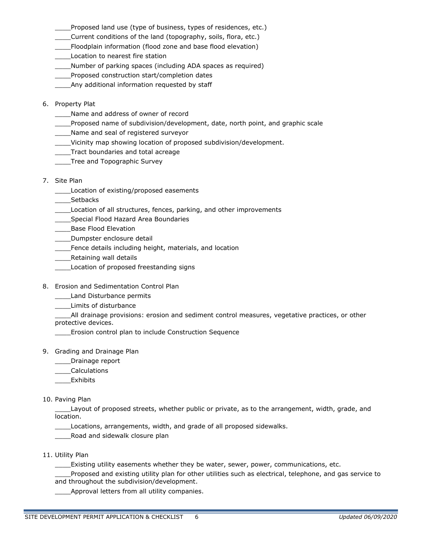Proposed land use (type of business, types of residences, etc.)

- \_\_\_\_Current conditions of the land (topography, soils, flora, etc.)
- \_\_\_\_Floodplain information (flood zone and base flood elevation)

Location to nearest fire station

\_\_\_\_Number of parking spaces (including ADA spaces as required)

\_\_\_\_Proposed construction start/completion dates

Any additional information requested by staff

6. Property Plat

\_\_\_\_Name and address of owner of record

- \_\_\_\_Proposed name of subdivision/development, date, north point, and graphic scale
- \_\_\_\_Name and seal of registered surveyor
- \_\_\_\_Vicinity map showing location of proposed subdivision/development.
- \_\_\_\_Tract boundaries and total acreage
- \_\_\_\_Tree and Topographic Survey
- 7. Site Plan
	- \_\_\_\_Location of existing/proposed easements

\_\_\_\_Setbacks

- \_\_\_\_Location of all structures, fences, parking, and other improvements
- \_\_\_\_Special Flood Hazard Area Boundaries
- \_\_\_\_Base Flood Elevation

\_\_\_\_Dumpster enclosure detail

- \_\_\_\_Fence details including height, materials, and location
- **Number** Retaining wall details
- \_\_\_\_Location of proposed freestanding signs
- 8. Erosion and Sedimentation Control Plan
	- \_\_\_\_Land Disturbance permits
	- \_\_\_\_Limits of disturbance

All drainage provisions: erosion and sediment control measures, vegetative practices, or other protective devices.

\_\_\_\_Erosion control plan to include Construction Sequence

- 9. Grading and Drainage Plan
	- \_\_\_\_Drainage report
	- \_\_\_\_Calculations
	- **Exhibits**

10. Paving Plan

Layout of proposed streets, whether public or private, as to the arrangement, width, grade, and location.

Locations, arrangements, width, and grade of all proposed sidewalks.

\_\_\_\_Road and sidewalk closure plan

11. Utility Plan

\_\_\_\_Existing utility easements whether they be water, sewer, power, communications, etc.

Proposed and existing utility plan for other utilities such as electrical, telephone, and gas service to and throughout the subdivision/development.

\_Approval letters from all utility companies.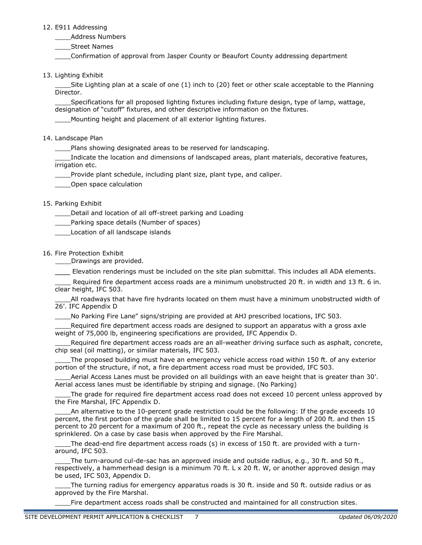#### 12. E911 Addressing

\_\_\_\_Address Numbers

\_\_\_\_Street Names

\_\_\_\_Confirmation of approval from Jasper County or Beaufort County addressing department

13. Lighting Exhibit

Site Lighting plan at a scale of one (1) inch to (20) feet or other scale acceptable to the Planning Director.

Specifications for all proposed lighting fixtures including fixture design, type of lamp, wattage, designation of "cutoff" fixtures, and other descriptive information on the fixtures.

Mounting height and placement of all exterior lighting fixtures.

#### 14. Landscape Plan

\_\_\_\_Plans showing designated areas to be reserved for landscaping.

Indicate the location and dimensions of landscaped areas, plant materials, decorative features, irrigation etc.

Provide plant schedule, including plant size, plant type, and caliper.

\_\_\_\_Open space calculation

# 15. Parking Exhibit

Detail and location of all off-street parking and Loading

\_\_\_\_Parking space details (Number of spaces)

\_\_\_\_Location of all landscape islands

#### 16. Fire Protection Exhibit

\_\_\_\_Drawings are provided.

Elevation renderings must be included on the site plan submittal. This includes all ADA elements.

Required fire department access roads are a minimum unobstructed 20 ft. in width and 13 ft. 6 in. clear height, IFC 503.

All roadways that have fire hydrants located on them must have a minimum unobstructed width of 26'. IFC Appendix D

\_\_\_\_No Parking Fire Lane" signs/striping are provided at AHJ prescribed locations, IFC 503.

Required fire department access roads are designed to support an apparatus with a gross axle weight of 75,000 lb, engineering specifications are provided, IFC Appendix D.

Required fire department access roads are an all-weather driving surface such as asphalt, concrete, chip seal (oil matting), or similar materials, IFC 503.

The proposed building must have an emergency vehicle access road within 150 ft. of any exterior portion of the structure, if not, a fire department access road must be provided, IFC 503.

Aerial Access Lanes must be provided on all buildings with an eave height that is greater than 30'. Aerial access lanes must be identifiable by striping and signage. (No Parking)

The grade for required fire department access road does not exceed 10 percent unless approved by the Fire Marshal, IFC Appendix D.

An alternative to the 10-percent grade restriction could be the following: If the grade exceeds 10 percent, the first portion of the grade shall be limited to 15 percent for a length of 200 ft. and then 15 percent to 20 percent for a maximum of 200 ft., repeat the cycle as necessary unless the building is sprinklered. On a case by case basis when approved by the Fire Marshal.

The dead-end fire department access roads (s) in excess of 150 ft. are provided with a turnaround, IFC 503.

The turn-around cul-de-sac has an approved inside and outside radius, e.g., 30 ft. and 50 ft., respectively, a hammerhead design is a minimum 70 ft. L x 20 ft. W, or another approved design may be used, IFC 503, Appendix D.

\_\_\_\_The turning radius for emergency apparatus roads is 30 ft. inside and 50 ft. outside radius or as approved by the Fire Marshal.

Fire department access roads shall be constructed and maintained for all construction sites.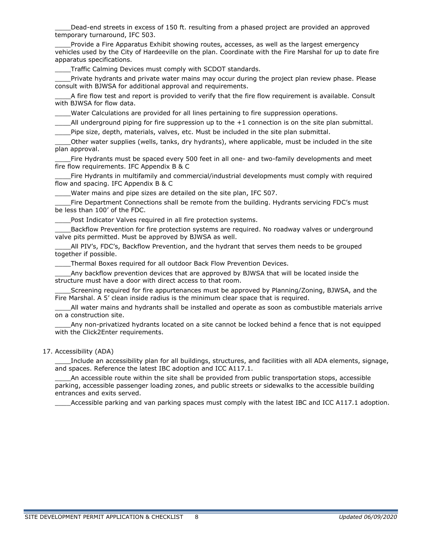Dead-end streets in excess of 150 ft. resulting from a phased project are provided an approved temporary turnaround, IFC 503.

Provide a Fire Apparatus Exhibit showing routes, accesses, as well as the largest emergency vehicles used by the City of Hardeeville on the plan. Coordinate with the Fire Marshal for up to date fire apparatus specifications.

Traffic Calming Devices must comply with SCDOT standards.

Private hydrants and private water mains may occur during the project plan review phase. Please consult with BJWSA for additional approval and requirements.

A fire flow test and report is provided to verify that the fire flow requirement is available. Consult with BJWSA for flow data.

Water Calculations are provided for all lines pertaining to fire suppression operations.

All underground piping for fire suppression up to the  $+1$  connection is on the site plan submittal. Pipe size, depth, materials, valves, etc. Must be included in the site plan submittal.

\_\_\_\_Other water supplies (wells, tanks, dry hydrants), where applicable, must be included in the site plan approval.

\_\_\_\_Fire Hydrants must be spaced every 500 feet in all one- and two-family developments and meet fire flow requirements. IFC Appendix B & C

Fire Hydrants in multifamily and commercial/industrial developments must comply with required flow and spacing. IFC Appendix B & C

Water mains and pipe sizes are detailed on the site plan, IFC 507.

Fire Department Connections shall be remote from the building. Hydrants servicing FDC's must be less than 100' of the FDC.

Post Indicator Valves required in all fire protection systems.

Backflow Prevention for fire protection systems are required. No roadway valves or underground valve pits permitted. Must be approved by BJWSA as well.

All PIV's, FDC's, Backflow Prevention, and the hydrant that serves them needs to be grouped together if possible.

Thermal Boxes required for all outdoor Back Flow Prevention Devices.

Any backflow prevention devices that are approved by BJWSA that will be located inside the structure must have a door with direct access to that room.

Screening required for fire appurtenances must be approved by Planning/Zoning, BJWSA, and the Fire Marshal. A 5' clean inside radius is the minimum clear space that is required.

All water mains and hydrants shall be installed and operate as soon as combustible materials arrive on a construction site.

Any non-privatized hydrants located on a site cannot be locked behind a fence that is not equipped with the Click2Enter requirements.

#### 17. Accessibility (ADA)

\_\_\_\_Include an accessibility plan for all buildings, structures, and facilities with all ADA elements, signage, and spaces. Reference the latest IBC adoption and ICC A117.1.

An accessible route within the site shall be provided from public transportation stops, accessible parking, accessible passenger loading zones, and public streets or sidewalks to the accessible building entrances and exits served.

Accessible parking and van parking spaces must comply with the latest IBC and ICC A117.1 adoption.